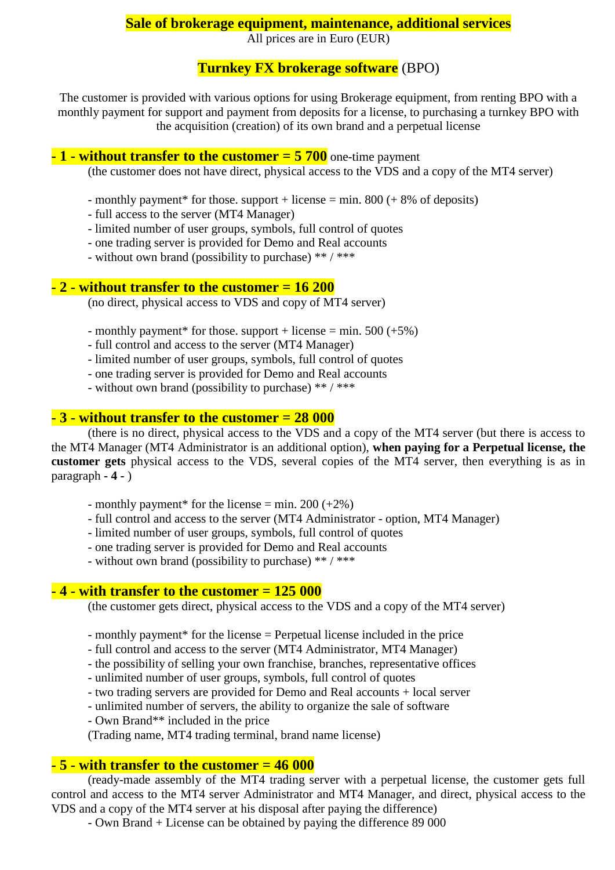#### **Sale of brokerage equipment, maintenance, additional services**

All prices are in Euro (EUR)

### **Turnkey FX brokerage software** (BPO)

The customer is provided with various options for using Brokerage equipment, from renting BPO with a monthly payment for support and payment from deposits for a license, to purchasing a turnkey BPO with the acquisition (creation) of its own brand and a perpetual license

#### **- 1 - without transfer to the customer = 5 700** one-time payment

(the customer does not have direct, physical access to the VDS and a copy of the MT4 server)

- monthly payment\* for those. support + license  $=$  min. 800 (+ 8% of deposits)
- full access to the server (MT4 Manager)
- limited number of user groups, symbols, full control of quotes
- one trading server is provided for Demo and Real accounts
- without own brand (possibility to purchase) \*\* / \*\*\*

#### **- 2 - without transfer to the customer = 16 200**

(no direct, physical access to VDS and copy of MT4 server)

- monthly payment\* for those. support + license = min.  $500 (+5\%)$
- full control and access to the server (MT4 Manager)
- limited number of user groups, symbols, full control of quotes
- one trading server is provided for Demo and Real accounts
- without own brand (possibility to purchase) \*\*/\*\*\*

#### **- 3 - without transfer to the customer = 28 000**

(there is no direct, physical access to the VDS and a copy of the MT4 server (but there is access to the MT4 Manager (MT4 Administrator is an additional option), **when paying for a Perpetual license, the customer gets** physical access to the VDS, several copies of the MT4 server, then everything is as in paragraph **- 4 -** )

- monthly payment\* for the license = min. 200  $(+2\%)$
- full control and access to the server (MT4 Administrator option, MT4 Manager)
- limited number of user groups, symbols, full control of quotes
- one trading server is provided for Demo and Real accounts
- without own brand (possibility to purchase) \*\* / \*\*\*

## **- 4 - with transfer to the customer = 125 000**

(the customer gets direct, physical access to the VDS and a copy of the MT4 server)

- monthly payment\* for the license = Perpetual license included in the price
- full control and access to the server (MT4 Administrator, MT4 Manager)
- the possibility of selling your own franchise, branches, representative offices
- unlimited number of user groups, symbols, full control of quotes
- two trading servers are provided for Demo and Real accounts + local server
- unlimited number of servers, the ability to organize the sale of software
- Own Brand\*\* included in the price

(Trading name, MT4 trading terminal, brand name license)

## **- 5 - with transfer to the customer = 46 000**

(ready-made assembly of the MT4 trading server with a perpetual license, the customer gets full control and access to the MT4 server Administrator and MT4 Manager, and direct, physical access to the VDS and a copy of the MT4 server at his disposal after paying the difference)

- Own Brand + License can be obtained by paying the difference 89 000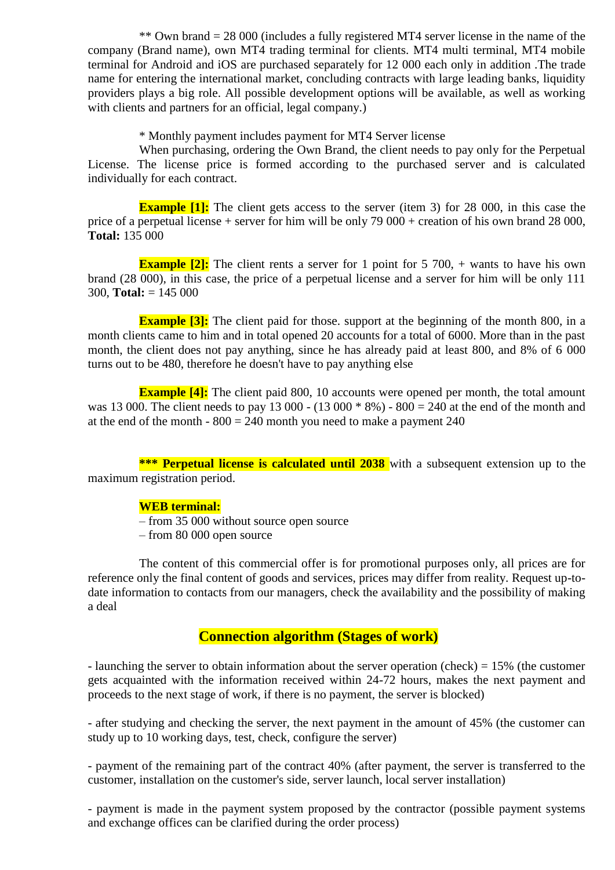\*\* Own brand = 28 000 (includes a fully registered MT4 server license in the name of the company (Brand name), own MT4 trading terminal for clients. MT4 multi terminal, MT4 mobile terminal for Android and iOS are purchased separately for 12 000 each only in addition .The trade name for entering the international market, concluding contracts with large leading banks, liquidity providers plays a big role. All possible development options will be available, as well as working with clients and partners for an official, legal company.)

\* Monthly payment includes payment for MT4 Server license

When purchasing, ordering the Own Brand, the client needs to pay only for the Perpetual License. The license price is formed according to the purchased server and is calculated individually for each contract.

**Example [1]:** The client gets access to the server (item 3) for 28 000, in this case the price of a perpetual license + server for him will be only  $79\,000$  + creation of his own brand 28 000, **Total:** 135 000

**Example [2]:** The client rents a server for 1 point for 5 700, + wants to have his own brand (28 000), in this case, the price of a perpetual license and a server for him will be only 111 300, **Total:** = 145 000

**Example [3]:** The client paid for those, support at the beginning of the month 800, in a month clients came to him and in total opened 20 accounts for a total of 6000. More than in the past month, the client does not pay anything, since he has already paid at least 800, and 8% of 6 000 turns out to be 480, therefore he doesn't have to pay anything else

**Example [4]:** The client paid 800, 10 accounts were opened per month, the total amount was 13 000. The client needs to pay 13 000 - (13 000  $* 8\%$ ) - 800 = 240 at the end of the month and at the end of the month  $-800 = 240$  month you need to make a payment 240

**\*\*\* Perpetual license is calculated until 2038** with a subsequent extension up to the maximum registration period.

#### **WEB terminal:**

- from 35 000 without source open source
- from 80 000 open source

The content of this commercial offer is for promotional purposes only, all prices are for reference only the final content of goods and services, prices may differ from reality. Request up-todate information to contacts from our managers, check the availability and the possibility of making a deal

#### **Connection algorithm (Stages of work)**

- launching the server to obtain information about the server operation (check) = 15% (the customer gets acquainted with the information received within 24-72 hours, makes the next payment and proceeds to the next stage of work, if there is no payment, the server is blocked)

- after studying and checking the server, the next payment in the amount of 45% (the customer can study up to 10 working days, test, check, configure the server)

- payment of the remaining part of the contract 40% (after payment, the server is transferred to the customer, installation on the customer's side, server launch, local server installation)

- payment is made in the payment system proposed by the contractor (possible payment systems and exchange offices can be clarified during the order process)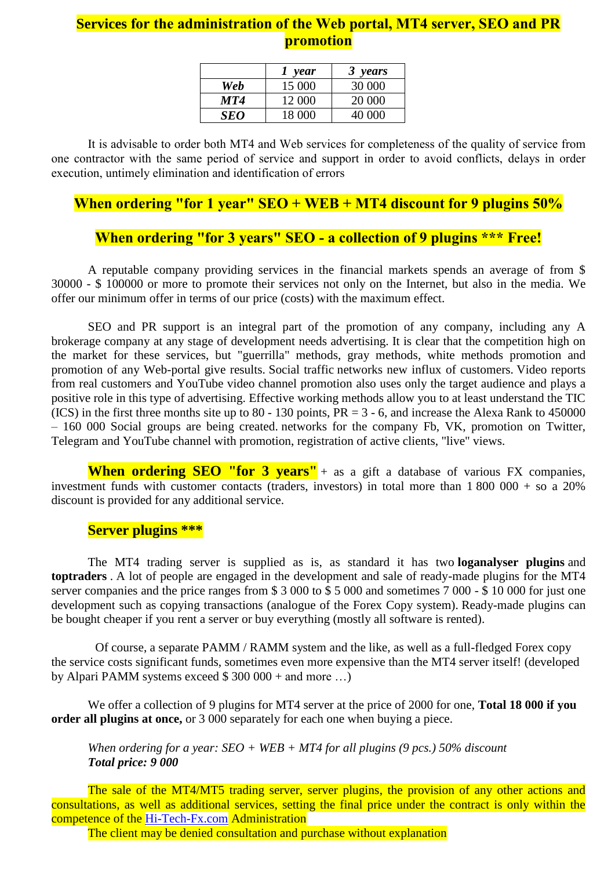# **Services for the administration of the Web portal, MT4 server, SEO and PR promotion**

|     | year   | 3 years |
|-----|--------|---------|
| Web | 15 000 | 30 000  |
| MT4 | 12 000 | 20 000  |
| SEO | 18 000 | 40.000  |

It is advisable to order both MT4 and Web services for completeness of the quality of service from one contractor with the same period of service and support in order to avoid conflicts, delays in order execution, untimely elimination and identification of errors

# **When ordering "for 1 year" SEO + WEB + MT4 discount for 9 plugins 50%**

# **When ordering "for 3 years" SEO - a collection of 9 plugins \*\*\* Free!**

A reputable company providing services in the financial markets spends an average of from \$ 30000 - \$ 100000 or more to promote their services not only on the Internet, but also in the media. We offer our minimum offer in terms of our price (costs) with the maximum effect.

SEO and PR support is an integral part of the promotion of any company, including any A brokerage company at any stage of development needs advertising. It is clear that the competition high on the market for these services, but "guerrilla" methods, gray methods, white methods promotion and promotion of any Web-portal give results. Social traffic networks new influx of customers. Video reports from real customers and YouTube video channel promotion also uses only the target audience and plays a positive role in this type of advertising. Effective working methods allow you to at least understand the TIC (ICS) in the first three months site up to 80 - 130 points,  $PR = 3 - 6$ , and increase the Alexa Rank to 450000 – 160 000 Social groups are being created. networks for the company Fb, VK, promotion on Twitter, Telegram and YouTube channel with promotion, registration of active clients, "live" views.

**When ordering SEO "for 3 years"** + as a gift a database of various FX companies, investment funds with customer contacts (traders, investors) in total more than 1 800 000 + so a 20% discount is provided for any additional service.

#### **Server plugins \*\*\***

The MT4 trading server is supplied as is, as standard it has two **loganalyser plugins** and **toptraders** . A lot of people are engaged in the development and sale of ready-made plugins for the MT4 server companies and the price ranges from \$ 3 000 to \$ 5 000 and sometimes 7 000 - \$ 10 000 for just one development such as copying transactions (analogue of the Forex Copy system). Ready-made plugins can be bought cheaper if you rent a server or buy everything (mostly all software is rented).

Of course, a separate PAMM / RAMM system and the like, as well as a full-fledged Forex copy the service costs significant funds, sometimes even more expensive than the MT4 server itself! (developed by Alpari PAMM systems exceed  $$300,000 +$  and more ...)

We offer a collection of 9 plugins for MT4 server at the price of 2000 for one, **Total 18 000 if you order all plugins at once,** or 3 000 separately for each one when buying a piece.

*When ordering for a year: SEO + WEB + MT4 for all plugins (9 pcs.) 50% discount Total price: 9 000*

The sale of the MT4/MT5 trading server, server plugins, the provision of any other actions and consultations, as well as additional services, setting the final price under the contract is only within the competence of the [Hi-Tech-Fx.com](http://hi-tech-fx.com/) Administration

The client may be denied consultation and purchase without explanation